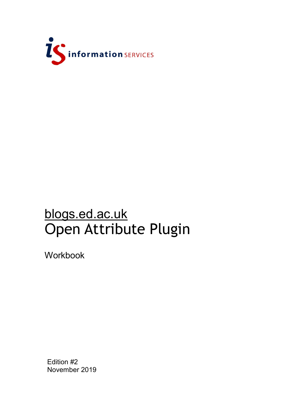

# blogs.ed.ac.uk Open Attribute Plugin

Workbook

Edition #2 November 2019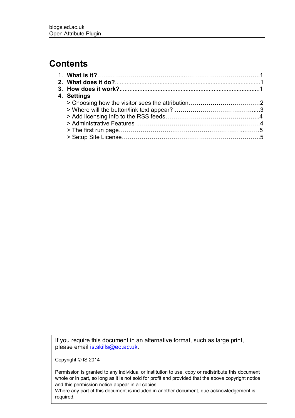# **Contents**

| 4. Settings |  |
|-------------|--|
|             |  |
|             |  |
|             |  |
|             |  |
|             |  |
|             |  |

If you require this document in an alternative format, such as large print, please email [is.skills@ed.ac.uk.](mailto:is.skills@ed.ac.uk)

Copyright © IS 2014

Permission is granted to any individual or institution to use, copy or redistribute this document whole or in part, so long as it is not sold for profit and provided that the above copyright notice and this permission notice appear in all copies.

Where any part of this document is included in another document, due acknowledgement is required.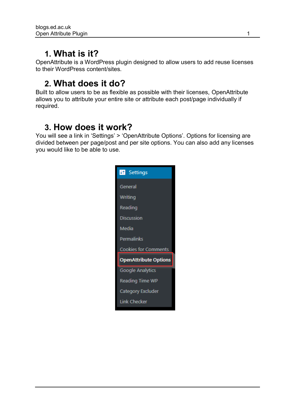# **1. What is it?**

OpenAttribute is a WordPress plugin designed to allow users to add reuse licenses to their WordPress content/sites.

# **2. What does it do?**

Built to allow users to be as flexible as possible with their licenses, OpenAttribute allows you to attribute your entire site or attribute each post/page individually if required.

# **3. How does it work?**

You will see a link in 'Settings' > 'OpenAttribute Options'. Options for licensing are divided between per page/post and per site options. You can also add any licenses you would like to be able to use.

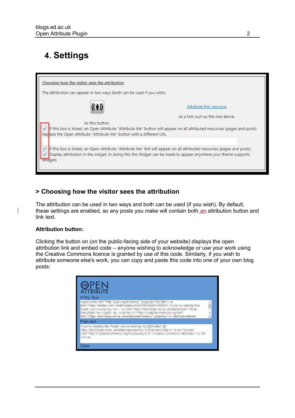# **4. Settings**



### **> Choosing how the visitor sees the attribution**

The attribution can be used in two ways and both can be used (if you wish). By default, these settings are enabled, so any posts you make will contain both an attribution button and link text.

#### **Attribution button:**

Clicking the button on (on the public-facing side of your website) displays the open attribution link and embed code – anyone wishing to acknowledge or use your work using the Creative Commons licence is granted by use of this code. Similarly, if you wish to attribute someone else's work, you can copy and paste this code into one of your own blog posts:

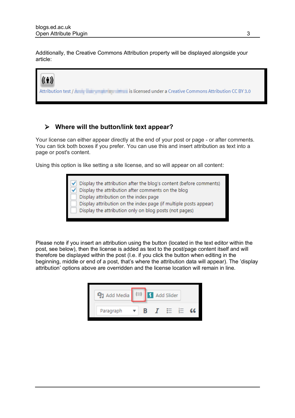Additionally, the Creative Commons Attribution property will be displayed alongside your article:



### **Where will the button/link text appear?**

Your license can either appear directly at the end of your post or page - or after comments. You can tick both boxes if you prefer. You can use this and insert attribution as text into a page or post's content.

Using this option is like setting a site license, and so will appear on all content:

 $\sqrt{\phantom{a}}$  Display the attribution after the blog's content (before comments)

Display the attribution after comments on the blog

Display attribution on the index page

Display attribution on the index page (if multiple posts appear)

Display the attribution only on blog posts (not pages)

Please note if you insert an attribution using the button (located in the text editor within the post, see below), then the license is added as text to the post/page content itself and will therefore be displayed within the post (I.e. if you click the button when editing in the beginning, middle or end of a post, that's where the attribution data will appear). The 'display attribution' options above are overridden and the license location will remain in line.

| Add Media |  | Add Slider |  |
|-----------|--|------------|--|
| Paragraph |  |            |  |